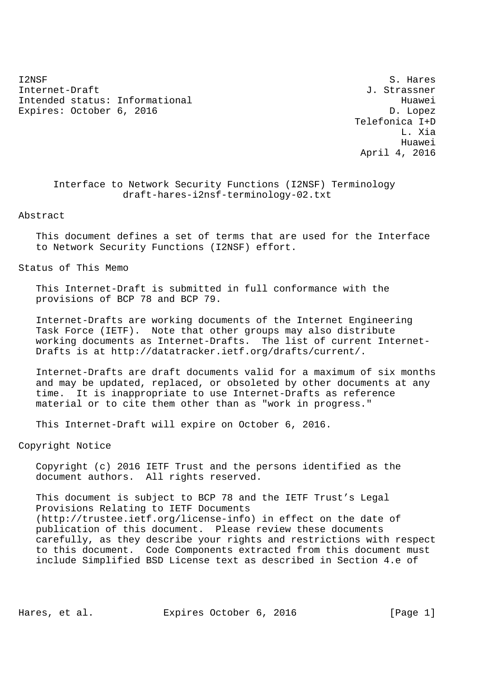I2NSF S. Hares Internet-Draft J. Strassner Intended status: Informational distribution of the Huawei Expires: October 6, 2016 **D. Lopez** 

 Telefonica I+D L. Xia Huawei April 4, 2016

 Interface to Network Security Functions (I2NSF) Terminology draft-hares-i2nsf-terminology-02.txt

Abstract

 This document defines a set of terms that are used for the Interface to Network Security Functions (I2NSF) effort.

Status of This Memo

 This Internet-Draft is submitted in full conformance with the provisions of BCP 78 and BCP 79.

 Internet-Drafts are working documents of the Internet Engineering Task Force (IETF). Note that other groups may also distribute working documents as Internet-Drafts. The list of current Internet- Drafts is at http://datatracker.ietf.org/drafts/current/.

 Internet-Drafts are draft documents valid for a maximum of six months and may be updated, replaced, or obsoleted by other documents at any time. It is inappropriate to use Internet-Drafts as reference material or to cite them other than as "work in progress."

This Internet-Draft will expire on October 6, 2016.

Copyright Notice

 Copyright (c) 2016 IETF Trust and the persons identified as the document authors. All rights reserved.

 This document is subject to BCP 78 and the IETF Trust's Legal Provisions Relating to IETF Documents (http://trustee.ietf.org/license-info) in effect on the date of publication of this document. Please review these documents carefully, as they describe your rights and restrictions with respect to this document. Code Components extracted from this document must include Simplified BSD License text as described in Section 4.e of

Hares, et al. Expires October 6, 2016 [Page 1]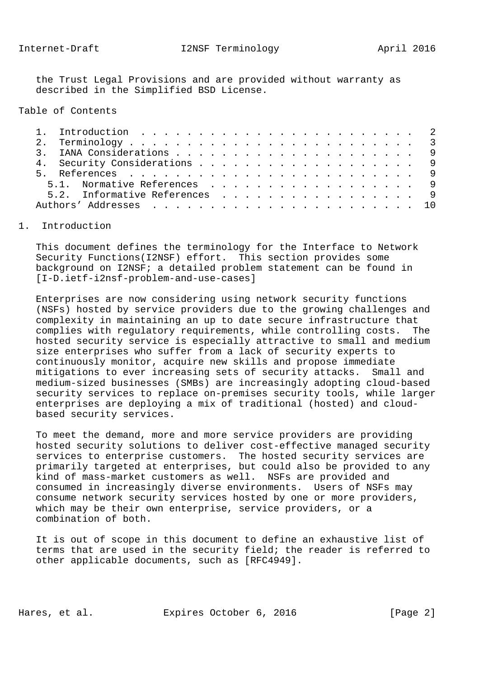the Trust Legal Provisions and are provided without warranty as described in the Simplified BSD License.

Table of Contents

| 4. Security Considerations 9  |  |
|-------------------------------|--|
|                               |  |
| 5.1. Normative References 9   |  |
| 5.2. Informative References 9 |  |
|                               |  |

## 1. Introduction

 This document defines the terminology for the Interface to Network Security Functions(I2NSF) effort. This section provides some background on I2NSF; a detailed problem statement can be found in [I-D.ietf-i2nsf-problem-and-use-cases]

 Enterprises are now considering using network security functions (NSFs) hosted by service providers due to the growing challenges and complexity in maintaining an up to date secure infrastructure that complies with regulatory requirements, while controlling costs. The hosted security service is especially attractive to small and medium size enterprises who suffer from a lack of security experts to continuously monitor, acquire new skills and propose immediate mitigations to ever increasing sets of security attacks. Small and medium-sized businesses (SMBs) are increasingly adopting cloud-based security services to replace on-premises security tools, while larger enterprises are deploying a mix of traditional (hosted) and cloud based security services.

 To meet the demand, more and more service providers are providing hosted security solutions to deliver cost-effective managed security services to enterprise customers. The hosted security services are primarily targeted at enterprises, but could also be provided to any kind of mass-market customers as well. NSFs are provided and consumed in increasingly diverse environments. Users of NSFs may consume network security services hosted by one or more providers, which may be their own enterprise, service providers, or a combination of both.

 It is out of scope in this document to define an exhaustive list of terms that are used in the security field; the reader is referred to other applicable documents, such as [RFC4949].

Hares, et al. Expires October 6, 2016 [Page 2]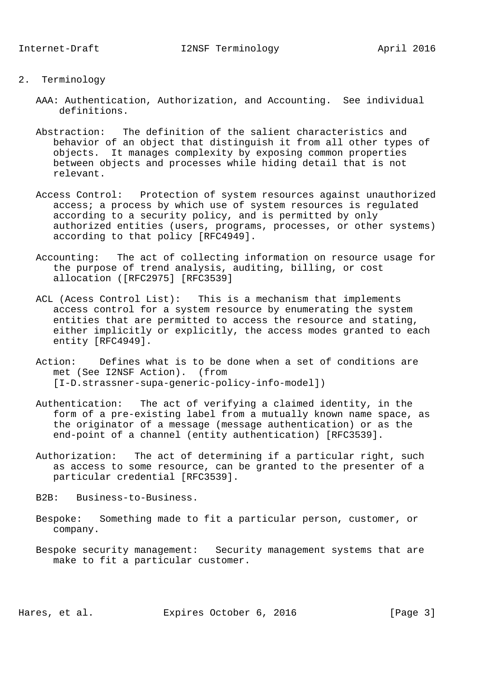- 2. Terminology
	- AAA: Authentication, Authorization, and Accounting. See individual definitions.
	- Abstraction: The definition of the salient characteristics and behavior of an object that distinguish it from all other types of objects. It manages complexity by exposing common properties between objects and processes while hiding detail that is not relevant.
	- Access Control: Protection of system resources against unauthorized access; a process by which use of system resources is regulated according to a security policy, and is permitted by only authorized entities (users, programs, processes, or other systems) according to that policy [RFC4949].
	- Accounting: The act of collecting information on resource usage for the purpose of trend analysis, auditing, billing, or cost allocation ([RFC2975] [RFC3539]
	- ACL (Acess Control List): This is a mechanism that implements access control for a system resource by enumerating the system entities that are permitted to access the resource and stating, either implicitly or explicitly, the access modes granted to each entity [RFC4949].
	- Action: Defines what is to be done when a set of conditions are met (See I2NSF Action). (from [I-D.strassner-supa-generic-policy-info-model])
	- Authentication: The act of verifying a claimed identity, in the form of a pre-existing label from a mutually known name space, as the originator of a message (message authentication) or as the end-point of a channel (entity authentication) [RFC3539].
	- Authorization: The act of determining if a particular right, such as access to some resource, can be granted to the presenter of a particular credential [RFC3539].
	- B2B: Business-to-Business.
	- Bespoke: Something made to fit a particular person, customer, or company.
	- Bespoke security management: Security management systems that are make to fit a particular customer.

Hares, et al. Expires October 6, 2016 [Page 3]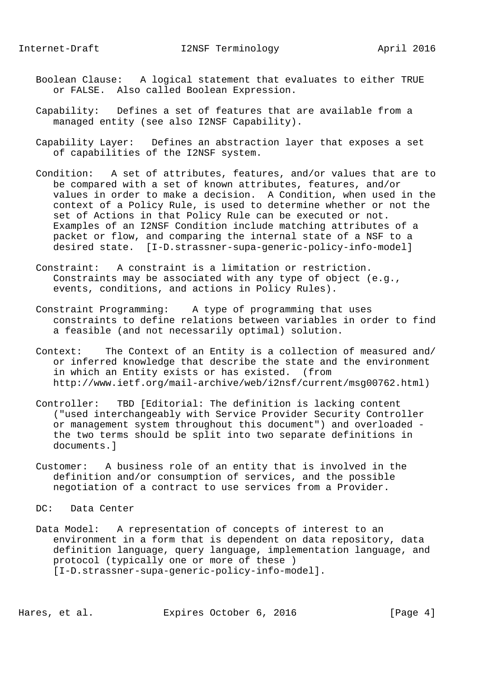- Boolean Clause: A logical statement that evaluates to either TRUE or FALSE. Also called Boolean Expression.
- Capability: Defines a set of features that are available from a managed entity (see also I2NSF Capability).
- Capability Layer: Defines an abstraction layer that exposes a set of capabilities of the I2NSF system.
- Condition: A set of attributes, features, and/or values that are to be compared with a set of known attributes, features, and/or values in order to make a decision. A Condition, when used in the context of a Policy Rule, is used to determine whether or not the set of Actions in that Policy Rule can be executed or not. Examples of an I2NSF Condition include matching attributes of a packet or flow, and comparing the internal state of a NSF to a desired state. [I-D.strassner-supa-generic-policy-info-model]
- Constraint: A constraint is a limitation or restriction. Constraints may be associated with any type of object (e.g., events, conditions, and actions in Policy Rules).
- Constraint Programming: A type of programming that uses constraints to define relations between variables in order to find a feasible (and not necessarily optimal) solution.
- Context: The Context of an Entity is a collection of measured and/ or inferred knowledge that describe the state and the environment in which an Entity exists or has existed. (from http://www.ietf.org/mail-archive/web/i2nsf/current/msg00762.html)
- Controller: TBD [Editorial: The definition is lacking content ("used interchangeably with Service Provider Security Controller or management system throughout this document") and overloaded the two terms should be split into two separate definitions in documents.]
- Customer: A business role of an entity that is involved in the definition and/or consumption of services, and the possible negotiation of a contract to use services from a Provider.

DC: Data Center

 Data Model: A representation of concepts of interest to an environment in a form that is dependent on data repository, data definition language, query language, implementation language, and protocol (typically one or more of these ) [I-D.strassner-supa-generic-policy-info-model].

Hares, et al. Expires October 6, 2016 [Page 4]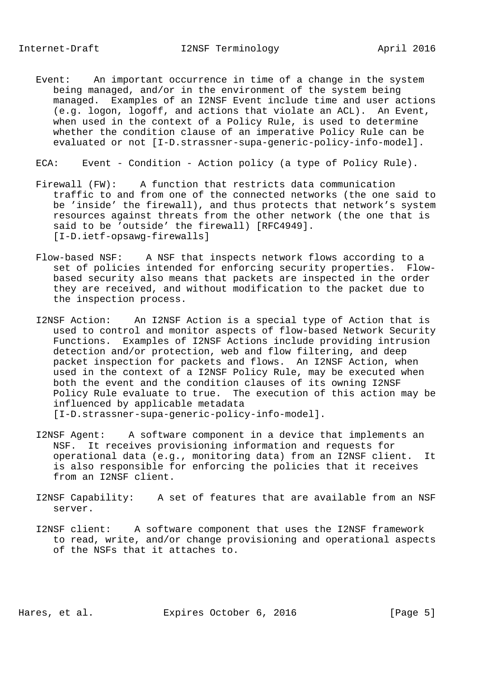- Event: An important occurrence in time of a change in the system being managed, and/or in the environment of the system being managed. Examples of an I2NSF Event include time and user actions (e.g. logon, logoff, and actions that violate an ACL). An Event, when used in the context of a Policy Rule, is used to determine whether the condition clause of an imperative Policy Rule can be evaluated or not [I-D.strassner-supa-generic-policy-info-model].
- ECA: Event Condition Action policy (a type of Policy Rule).
- Firewall (FW): A function that restricts data communication traffic to and from one of the connected networks (the one said to be 'inside' the firewall), and thus protects that network's system resources against threats from the other network (the one that is said to be 'outside' the firewall) [RFC4949]. [I-D.ietf-opsawg-firewalls]
- Flow-based NSF: A NSF that inspects network flows according to a set of policies intended for enforcing security properties. Flow based security also means that packets are inspected in the order they are received, and without modification to the packet due to the inspection process.
- I2NSF Action: An I2NSF Action is a special type of Action that is used to control and monitor aspects of flow-based Network Security Functions. Examples of I2NSF Actions include providing intrusion detection and/or protection, web and flow filtering, and deep packet inspection for packets and flows. An I2NSF Action, when used in the context of a I2NSF Policy Rule, may be executed when both the event and the condition clauses of its owning I2NSF Policy Rule evaluate to true. The execution of this action may be influenced by applicable metadata [I-D.strassner-supa-generic-policy-info-model].
- I2NSF Agent: A software component in a device that implements an NSF. It receives provisioning information and requests for operational data (e.g., monitoring data) from an I2NSF client. It is also responsible for enforcing the policies that it receives from an I2NSF client.
- I2NSF Capability: A set of features that are available from an NSF server.
- I2NSF client: A software component that uses the I2NSF framework to read, write, and/or change provisioning and operational aspects of the NSFs that it attaches to.

Hares, et al. Expires October 6, 2016 [Page 5]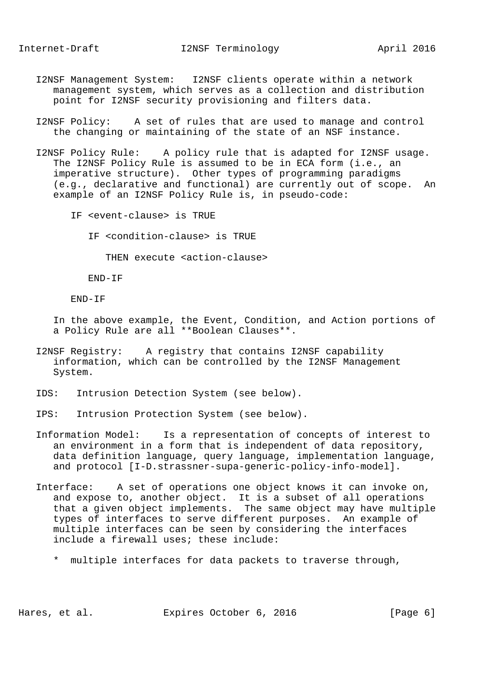- I2NSF Management System: I2NSF clients operate within a network management system, which serves as a collection and distribution point for I2NSF security provisioning and filters data.
- I2NSF Policy: A set of rules that are used to manage and control the changing or maintaining of the state of an NSF instance.
- I2NSF Policy Rule: A policy rule that is adapted for I2NSF usage. The I2NSF Policy Rule is assumed to be in ECA form (i.e., an imperative structure). Other types of programming paradigms (e.g., declarative and functional) are currently out of scope. An example of an I2NSF Policy Rule is, in pseudo-code:
	- IF <event-clause> is TRUE
		- IF <condition-clause> is TRUE

THEN execute <action-clause>

END-IF

END-IF

 In the above example, the Event, Condition, and Action portions of a Policy Rule are all \*\*Boolean Clauses\*\*.

- I2NSF Registry: A registry that contains I2NSF capability information, which can be controlled by the I2NSF Management System.
- IDS: Intrusion Detection System (see below).
- IPS: Intrusion Protection System (see below).
- Information Model: Is a representation of concepts of interest to an environment in a form that is independent of data repository, data definition language, query language, implementation language, and protocol [I-D.strassner-supa-generic-policy-info-model].
- Interface: A set of operations one object knows it can invoke on, and expose to, another object. It is a subset of all operations that a given object implements. The same object may have multiple types of interfaces to serve different purposes. An example of multiple interfaces can be seen by considering the interfaces include a firewall uses; these include:
	- \* multiple interfaces for data packets to traverse through,

Hares, et al. Expires October 6, 2016 [Page 6]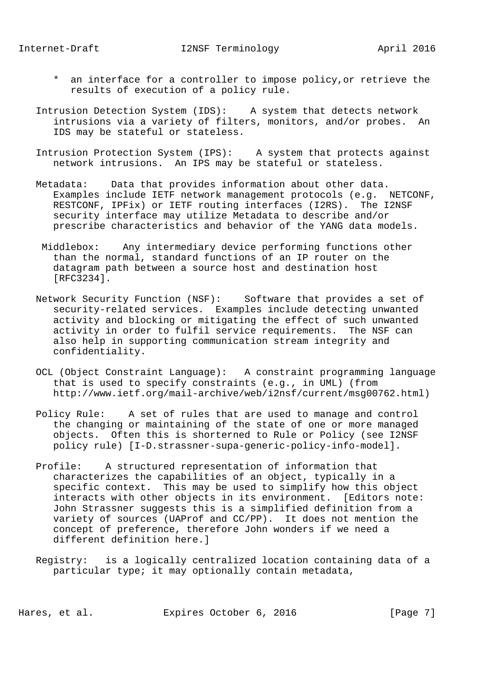- \* an interface for a controller to impose policy,or retrieve the results of execution of a policy rule.
- Intrusion Detection System (IDS): A system that detects network intrusions via a variety of filters, monitors, and/or probes. An IDS may be stateful or stateless.
- Intrusion Protection System (IPS): A system that protects against network intrusions. An IPS may be stateful or stateless.
- Metadata: Data that provides information about other data. Examples include IETF network management protocols (e.g. NETCONF, RESTCONF, IPFix) or IETF routing interfaces (I2RS). The I2NSF security interface may utilize Metadata to describe and/or prescribe characteristics and behavior of the YANG data models.
- Middlebox: Any intermediary device performing functions other than the normal, standard functions of an IP router on the datagram path between a source host and destination host [RFC3234].
- Network Security Function (NSF): Software that provides a set of security-related services. Examples include detecting unwanted activity and blocking or mitigating the effect of such unwanted activity in order to fulfil service requirements. The NSF can also help in supporting communication stream integrity and confidentiality.
- OCL (Object Constraint Language): A constraint programming language that is used to specify constraints (e.g., in UML) (from http://www.ietf.org/mail-archive/web/i2nsf/current/msg00762.html)
- Policy Rule: A set of rules that are used to manage and control the changing or maintaining of the state of one or more managed objects. Often this is shorterned to Rule or Policy (see I2NSF policy rule) [I-D.strassner-supa-generic-policy-info-model].
- Profile: A structured representation of information that characterizes the capabilities of an object, typically in a specific context. This may be used to simplify how this object interacts with other objects in its environment. [Editors note: John Strassner suggests this is a simplified definition from a variety of sources (UAProf and CC/PP). It does not mention the concept of preference, therefore John wonders if we need a different definition here.]
- Registry: is a logically centralized location containing data of a particular type; it may optionally contain metadata,

Hares, et al. Expires October 6, 2016 [Page 7]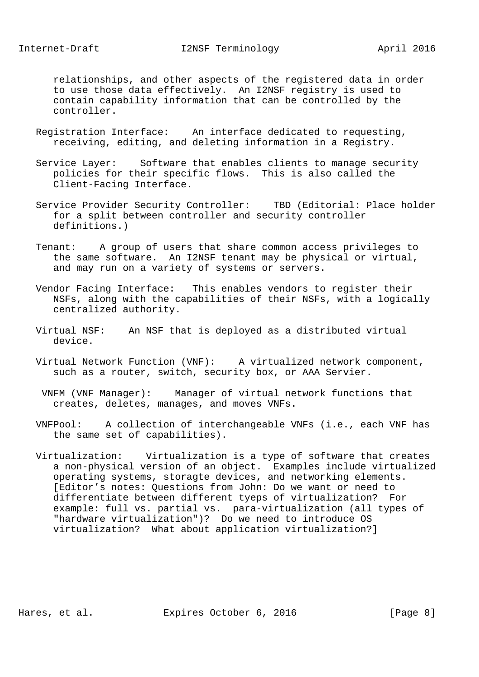relationships, and other aspects of the registered data in order to use those data effectively. An I2NSF registry is used to contain capability information that can be controlled by the controller.

- Registration Interface: An interface dedicated to requesting, receiving, editing, and deleting information in a Registry.
- Service Layer: Software that enables clients to manage security policies for their specific flows. This is also called the Client-Facing Interface.
- Service Provider Security Controller: TBD (Editorial: Place holder for a split between controller and security controller definitions.)
- Tenant: A group of users that share common access privileges to the same software. An I2NSF tenant may be physical or virtual, and may run on a variety of systems or servers.
- Vendor Facing Interface: This enables vendors to register their NSFs, along with the capabilities of their NSFs, with a logically centralized authority.
- Virtual NSF: An NSF that is deployed as a distributed virtual device.
- Virtual Network Function (VNF): A virtualized network component, such as a router, switch, security box, or AAA Servier.
- VNFM (VNF Manager): Manager of virtual network functions that creates, deletes, manages, and moves VNFs.
- VNFPool: A collection of interchangeable VNFs (i.e., each VNF has the same set of capabilities).
- Virtualization: Virtualization is a type of software that creates a non-physical version of an object. Examples include virtualized operating systems, storagte devices, and networking elements. [Editor's notes: Questions from John: Do we want or need to differentiate between different tyeps of virtualization? For example: full vs. partial vs. para-virtualization (all types of "hardware virtualization")? Do we need to introduce OS virtualization? What about application virtualization?]

Hares, et al. Expires October 6, 2016 [Page 8]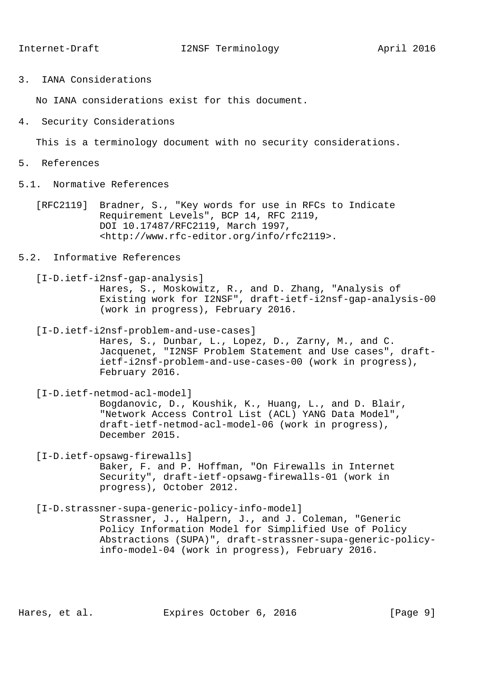3. IANA Considerations

No IANA considerations exist for this document.

4. Security Considerations

This is a terminology document with no security considerations.

- 5. References
- 5.1. Normative References
	- [RFC2119] Bradner, S., "Key words for use in RFCs to Indicate Requirement Levels", BCP 14, RFC 2119, DOI 10.17487/RFC2119, March 1997, <http://www.rfc-editor.org/info/rfc2119>.
- 5.2. Informative References

 [I-D.ietf-i2nsf-gap-analysis] Hares, S., Moskowitz, R., and D. Zhang, "Analysis of Existing work for I2NSF", draft-ietf-i2nsf-gap-analysis-00 (work in progress), February 2016.

[I-D.ietf-i2nsf-problem-and-use-cases]

 Hares, S., Dunbar, L., Lopez, D., Zarny, M., and C. Jacquenet, "I2NSF Problem Statement and Use cases", draft ietf-i2nsf-problem-and-use-cases-00 (work in progress), February 2016.

 [I-D.ietf-netmod-acl-model] Bogdanovic, D., Koushik, K., Huang, L., and D. Blair, "Network Access Control List (ACL) YANG Data Model", draft-ietf-netmod-acl-model-06 (work in progress), December 2015.

 [I-D.ietf-opsawg-firewalls] Baker, F. and P. Hoffman, "On Firewalls in Internet Security", draft-ietf-opsawg-firewalls-01 (work in progress), October 2012.

 [I-D.strassner-supa-generic-policy-info-model] Strassner, J., Halpern, J., and J. Coleman, "Generic Policy Information Model for Simplified Use of Policy Abstractions (SUPA)", draft-strassner-supa-generic-policy info-model-04 (work in progress), February 2016.

Hares, et al. Expires October 6, 2016 [Page 9]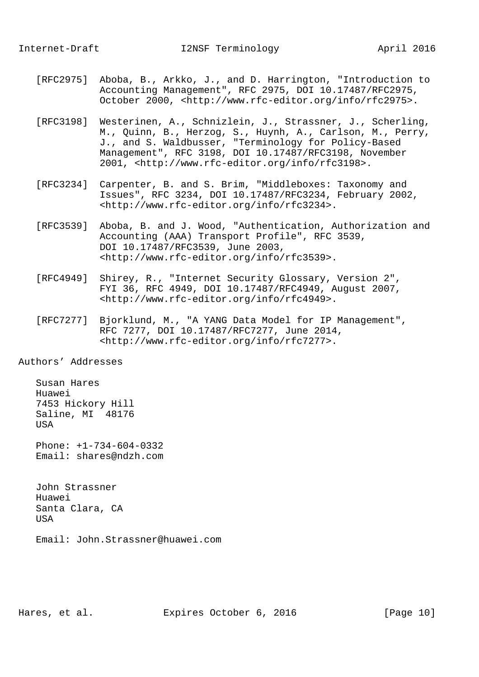- [RFC2975] Aboba, B., Arkko, J., and D. Harrington, "Introduction to Accounting Management", RFC 2975, DOI 10.17487/RFC2975, October 2000, <http://www.rfc-editor.org/info/rfc2975>.
- [RFC3198] Westerinen, A., Schnizlein, J., Strassner, J., Scherling, M., Quinn, B., Herzog, S., Huynh, A., Carlson, M., Perry, J., and S. Waldbusser, "Terminology for Policy-Based Management", RFC 3198, DOI 10.17487/RFC3198, November 2001, <http://www.rfc-editor.org/info/rfc3198>.
- [RFC3234] Carpenter, B. and S. Brim, "Middleboxes: Taxonomy and Issues", RFC 3234, DOI 10.17487/RFC3234, February 2002, <http://www.rfc-editor.org/info/rfc3234>.
- [RFC3539] Aboba, B. and J. Wood, "Authentication, Authorization and Accounting (AAA) Transport Profile", RFC 3539, DOI 10.17487/RFC3539, June 2003, <http://www.rfc-editor.org/info/rfc3539>.
- [RFC4949] Shirey, R., "Internet Security Glossary, Version 2", FYI 36, RFC 4949, DOI 10.17487/RFC4949, August 2007, <http://www.rfc-editor.org/info/rfc4949>.
- [RFC7277] Bjorklund, M., "A YANG Data Model for IP Management", RFC 7277, DOI 10.17487/RFC7277, June 2014, <http://www.rfc-editor.org/info/rfc7277>.

Authors' Addresses

 Susan Hares Huawei 7453 Hickory Hill Saline, MI 48176 USA

 Phone: +1-734-604-0332 Email: shares@ndzh.com

 John Strassner Huawei Santa Clara, CA USA

Email: John.Strassner@huawei.com

Hares, et al. Expires October 6, 2016 [Page 10]